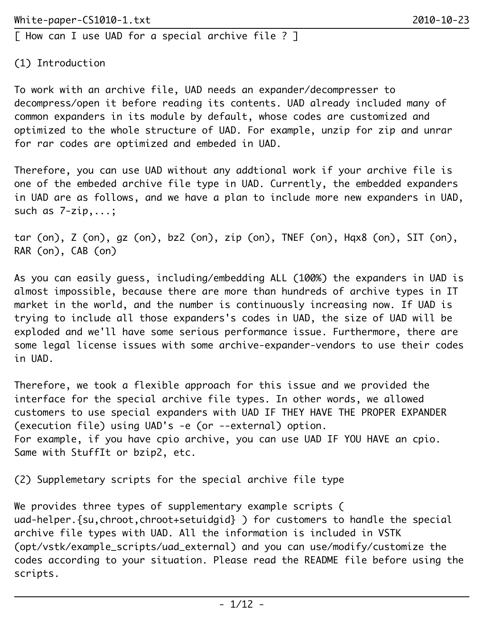(1) Introduction

To work with an archive file, UAD needs an expander/decompresser to decompress/open it before reading its contents. UAD already included many of common expanders in its module by default, whose codes are customized and optimized to the whole structure of UAD. For example, unzip for zip and unrar for rar codes are optimized and embeded in UAD.

Therefore, you can use UAD without any addtional work if your archive file is one of the embeded archive file type in UAD. Currently, the embedded expanders in UAD are as follows, and we have a plan to include more new expanders in UAD, such as 7-zip,...;

tar (on), Z (on), gz (on), bz2 (on), zip (on), TNEF (on), Hqx8 (on), SIT (on), RAR (on), CAB (on)

As you can easily guess, including/embedding ALL (100%) the expanders in UAD is almost impossible, because there are more than hundreds of archive types in IT market in the world, and the number is continuously increasing now. If UAD is trying to include all those expanders's codes in UAD, the size of UAD will be exploded and we'll have some serious performance issue. Furthermore, there are some legal license issues with some archive-expander-vendors to use their codes in UAD.

Therefore, we took a flexible approach for this issue and we provided the interface for the special archive file types. In other words, we allowed customers to use special expanders with UAD IF THEY HAVE THE PROPER EXPANDER (execution file) using UAD's -e (or --external) option. For example, if you have cpio archive, you can use UAD IF YOU HAVE an cpio. Same with StuffIt or bzip2, etc.

(2) Supplemetary scripts for the special archive file type

We provides three types of supplementary example scripts ( uad-helper.{su,chroot,chroot+setuidgid} ) for customers to handle the special archive file types with UAD. All the information is included in VSTK (opt/vstk/example\_scripts/uad\_external) and you can use/modify/customize the codes according to your situation. Please read the README file before using the scripts.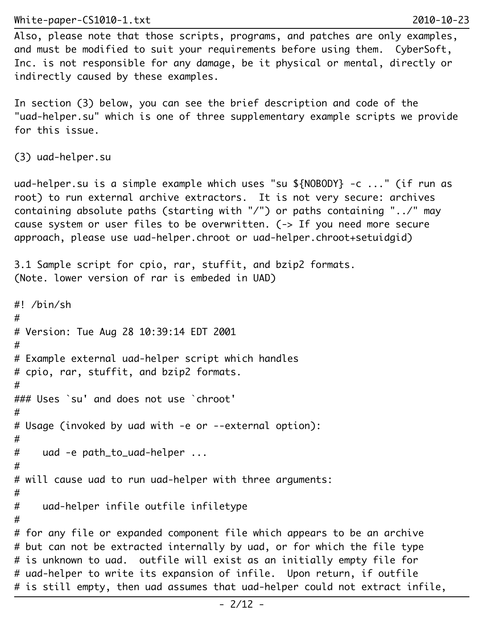Also, please note that those scripts, programs, and patches are only examples, and must be modified to suit your requirements before using them. CyberSoft, Inc. is not responsible for any damage, be it physical or mental, directly or indirectly caused by these examples.

In section (3) below, you can see the brief description and code of the "uad-helper.su" which is one of three supplementary example scripts we provide for this issue.

```
(3) uad-helper.su
```
uad-helper.su is a simple example which uses "su \${NOBODY} -c ..." (if run as root) to run external archive extractors. It is not very secure: archives containing absolute paths (starting with "/") or paths containing "../" may cause system or user files to be overwritten. (-> If you need more secure approach, please use uad-helper.chroot or uad-helper.chroot+setuidgid)

```
3.1 Sample script for cpio, rar, stuffit, and bzip2 formats. 
(Note. lower version of rar is embeded in UAD)
```

```
#! /bin/sh
#
# Version: Tue Aug 28 10:39:14 EDT 2001
#
# Example external uad-helper script which handles
# cpio, rar, stuffit, and bzip2 formats.
#
### Uses `su' and does not use `chroot'
#
# Usage (invoked by uad with -e or --external option):
#
# uad -e path_to_uad-helper ...
#
# will cause uad to run uad-helper with three arguments:
#
# uad-helper infile outfile infiletype
#
# for any file or expanded component file which appears to be an archive
# but can not be extracted internally by uad, or for which the file type
# is unknown to uad. outfile will exist as an initially empty file for
# uad-helper to write its expansion of infile. Upon return, if outfile
# is still empty, then uad assumes that uad-helper could not extract infile,
```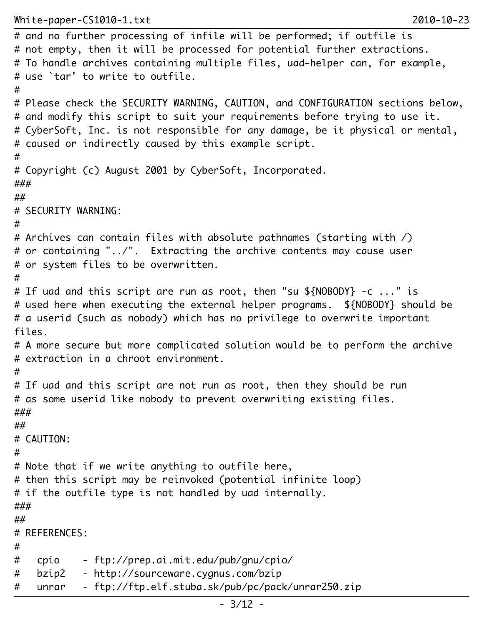```
# and no further processing of infile will be performed; if outfile is
# not empty, then it will be processed for potential further extractions.
# To handle archives containing multiple files, uad-helper can, for example,
# use `tar' to write to outfile.
#
# Please check the SECURITY WARNING, CAUTION, and CONFIGURATION sections below,
# and modify this script to suit your requirements before trying to use it.
# CyberSoft, Inc. is not responsible for any damage, be it physical or mental,
# caused or indirectly caused by this example script.
#
# Copyright (c) August 2001 by CyberSoft, Incorporated.
###
##
# SECURITY WARNING:
#
# Archives can contain files with absolute pathnames (starting with /)
# or containing "../". Extracting the archive contents may cause user
# or system files to be overwritten.
#
# If uad and this script are run as root, then "su ${NOBODY} -c ..." is
# used here when executing the external helper programs. ${NOBODY} should be
# a userid (such as nobody) which has no privilege to overwrite important
files.
# A more secure but more complicated solution would be to perform the archive
# extraction in a chroot environment.
#
# If uad and this script are not run as root, then they should be run
# as some userid like nobody to prevent overwriting existing files.
###
##
# CAUTION:
#
# Note that if we write anything to outfile here,
# then this script may be reinvoked (potential infinite loop)
# if the outfile type is not handled by uad internally.
###
##
# REFERENCES:
#
# cpio - ftp://prep.ai.mit.edu/pub/gnu/cpio/
# bzip2 - http://sourceware.cygnus.com/bzip
# unrar - ftp://ftp.elf.stuba.sk/pub/pc/pack/unrar250.zip
```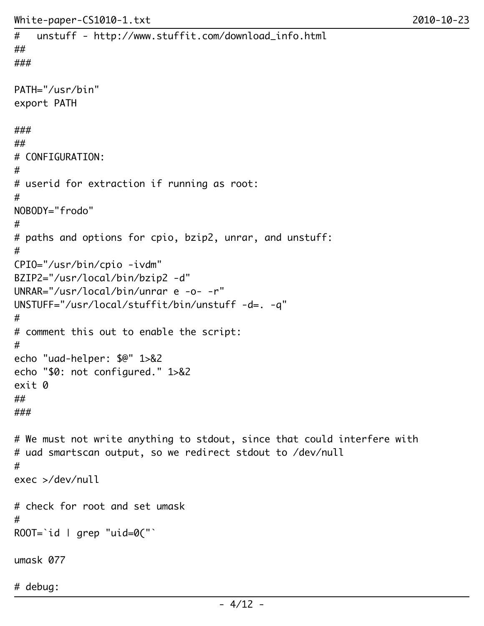```
# unstuff - http://www.stuffit.com/download_info.html
##
###
PATH="/usr/bin"
export PATH
###
##
# CONFIGURATION:
#
# userid for extraction if running as root:
#
NOBODY="frodo"
#
# paths and options for cpio, bzip2, unrar, and unstuff:
#
CPIO="/usr/bin/cpio -ivdm"
BZIP2="/usr/local/bin/bzip2 -d"
UNRAR="/usr/local/bin/unrar e -o- -r"
UNSTUFF="/usr/local/stuffit/bin/unstuff -d=. -q"
#
# comment this out to enable the script:
#
echo "uad-helper: $@" 1>&2
echo "$0: not configured." 1>&2
exit 0
##
###
# We must not write anything to stdout, since that could interfere with
# uad smartscan output, so we redirect stdout to /dev/null
#
exec >/dev/null
# check for root and set umask
#
ROOT=`id | grep "uid=O("umask 077
# debug:
```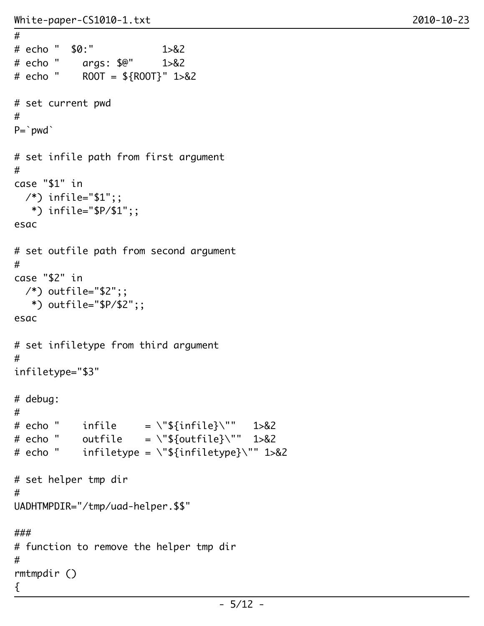#

```
# echo " $0:" 1>&2
# echo " args: $@" 1>&2
# echo " ROOT = ${ROOT}" 1>&2
# set current pwd
#
P=`pwd`
# set infile path from first argument
#
case "$1" in
  /*) infile="$1";;
   *) infile="$P/$1";;
esac
# set outfile path from second argument
#
case "$2" in
 /*) outfile="$2";;
    *) outfile="$P/$2";;
esac
# set infiletype from third argument
#
infiletype="$3"
# debug:
#
# echo " infile = \"${infile}\"" 1>&2
# echo " outfile = \{\\${outfile}\"" 1>&2
# echo " infiletype = \iota"${infiletype}\"" 1>&2
# set helper tmp dir
#
UADHTMPDIR="/tmp/uad-helper.$$"
###
# function to remove the helper tmp dir
#
rmtmpdir ()
{
```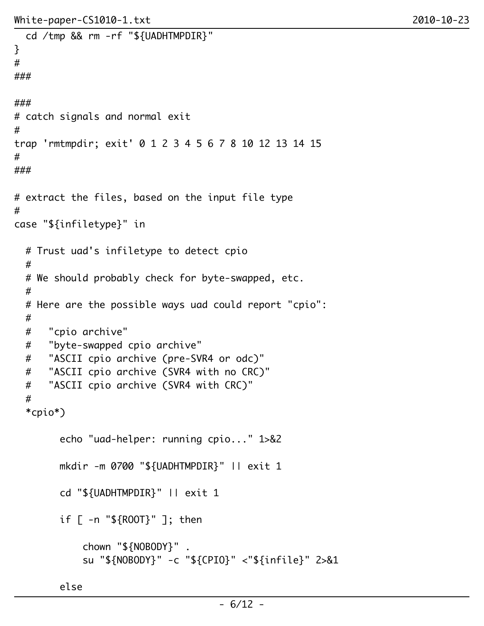```
 cd /tmp && rm -rf "${UADHTMPDIR}"
}
#
###
###
# catch signals and normal exit
#
trap 'rmtmpdir; exit' 0 1 2 3 4 5 6 7 8 10 12 13 14 15
#
###
# extract the files, based on the input file type
#
case "${infiletype}" in
   # Trust uad's infiletype to detect cpio
   #
   # We should probably check for byte-swapped, etc.
   #
   # Here are the possible ways uad could report "cpio":
   #
   # "cpio archive"
   # "byte-swapped cpio archive"
   # "ASCII cpio archive (pre-SVR4 or odc)"
   # "ASCII cpio archive (SVR4 with no CRC)"
   # "ASCII cpio archive (SVR4 with CRC)"
   #
   *cpio*)
         echo "uad-helper: running cpio..." 1>&2
         mkdir -m 0700 "${UADHTMPDIR}" || exit 1
         cd "${UADHTMPDIR}" || exit 1
         if [ -n "${ROOT}" ]; then
             chown "${NOBODY}" .
             su "${NOBODY}" -c "${CPIO}" <"${infile}" 2>&1
```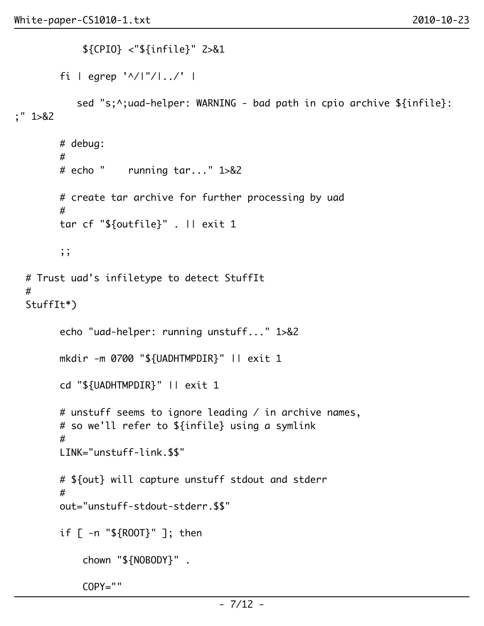```
 ${CPIO} <"${infile}" 2>&1
        fi | egrep '^/|"/|../' |
          sed "s;^;uad-helper: WARNING - bad path in cpio archive ${infile}:
;" 1>&2
        # debug:
 #
        # echo " running tar..." 1>&2
        # create tar archive for further processing by uad
 #
        tar cf "${outfile}" . || exit 1
        ;;
  # Trust uad's infiletype to detect StuffIt
  #
  StuffIt*)
        echo "uad-helper: running unstuff..." 1>&2
        mkdir -m 0700 "${UADHTMPDIR}" || exit 1
        cd "${UADHTMPDIR}" || exit 1
        # unstuff seems to ignore leading / in archive names,
        # so we'll refer to ${infile} using a symlink
 #
        LINK="unstuff-link.$$"
        # ${out} will capture unstuff stdout and stderr
 #
        out="unstuff-stdout-stderr.$$"
        if [ -n "${ROOT}" ]; then
            chown "${NOBODY}" .
            COPY=""
```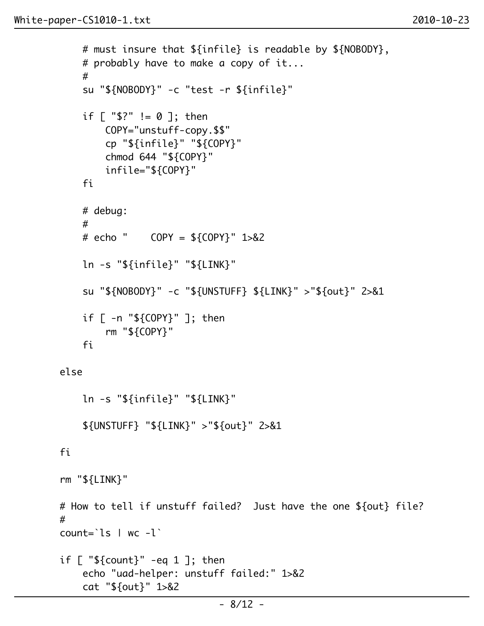#

```
 # probably have to make a copy of it...
 #
             su "${NOBODY}" -c "test -r ${infile}"
             if [ "$?" != 0 ]; then
                 COPY="unstuff-copy.$$"
                 cp "${infile}" "${COPY}"
                 chmod 644 "${COPY}"
                 infile="${COPY}"
             fi
             # debug:
 #
             # echo " COPY = ${COPY}" 1>&2
             ln -s "${infile}" "${LINK}"
             su "${NOBODY}" -c "${UNSTUFF} ${LINK}" >"${out}" 2>&1
             if [ -n "${COPY}" ]; then
                 rm "${COPY}"
             fi
         else
             ln -s "${infile}" "${LINK}"
             ${UNSTUFF} "${LINK}" >"${out}" 2>&1
         fi
         rm "${LINK}"
        # How to tell if unstuff failed? Just have the one ${out} file?
        count=\iotas | wc -\iotaif [ "${count}" -eq 1 ]; then
             echo "uad-helper: unstuff failed:" 1>&2
             cat "${out}" 1>&2
```
# must insure that \${infile} is readable by \${NOBODY},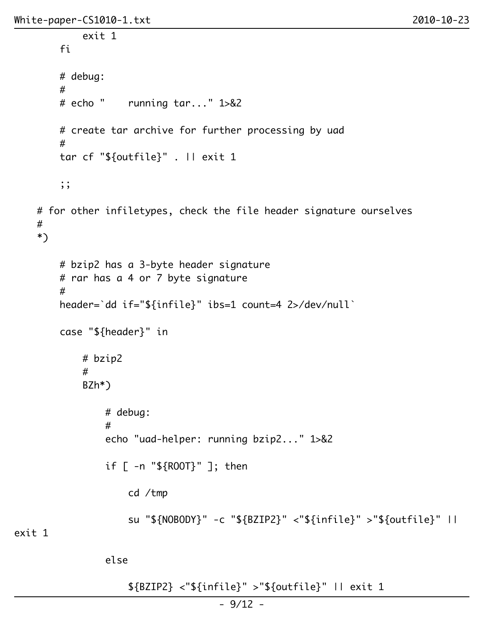```
 exit 1
        fi
        # debug:
 #
        # echo " running tar..." 1>&2
        # create tar archive for further processing by uad
 #
        tar cf "${outfile}" . || exit 1
        ;;
    # for other infiletypes, check the file header signature ourselves
    #
    *)
        # bzip2 has a 3-byte header signature
        # rar has a 4 or 7 byte signature
 #
        header=`dd if="${infile}" ibs=1 count=4 2>/dev/null`
        case "${header}" in
            # bzip2
 #
            BZh*)
                # debug:
 #
                echo "uad-helper: running bzip2..." 1>&2
                if [ -n "${ROOT}" ]; then
                    cd /tmp
                    su "${NOBODY}" -c "${BZIP2}" <"${infile}" >"${outfile}" ||
exit 1
```
else

\${BZIP2} <"\${infile}" >"\${outfile}" || exit 1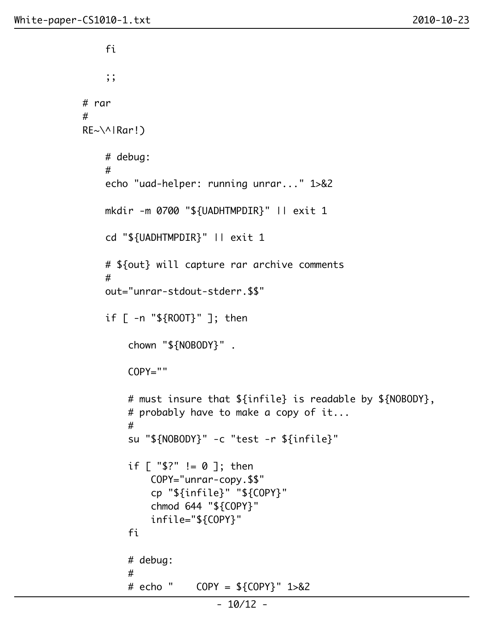#

```
i a shekarar 1975) a ƙafa ta ƙasar Ingila. Nasar ƙafa ta ƙasar Ingila. Nasar ƙ
                   ;;
              # rar
              RE~\^|Rar!)
                   # debug:
 #
                   echo "uad-helper: running unrar..." 1>&2
                  mkdir -m 0700 "${UADHTMPDIR}" || exit 1
                   cd "${UADHTMPDIR}" || exit 1
                   # ${out} will capture rar archive comments
 #
                   out="unrar-stdout-stderr.$$"
                  if [ -n "${ROOT}" ]; then
                       chown "${NOBODY}" .
                      COPY=" # must insure that ${infile} is readable by ${NOBODY},
                       # probably have to make a copy of it...
 #
                       su "${NOBODY}" -c "test -r ${infile}"
                       if [ "$?" != 0 ]; then
                            COPY="unrar-copy.$$"
                            cp "${infile}" "${COPY}"
                            chmod 644 "${COPY}"
                            infile="${COPY}"
finally a set of \mathfrak{f} is \mathfrak{f} in \mathfrak{f} is \mathfrak{f} in \mathfrak{f} # debug:
 #
                       # echo " COPY = ${COPY}" 1>&2
```